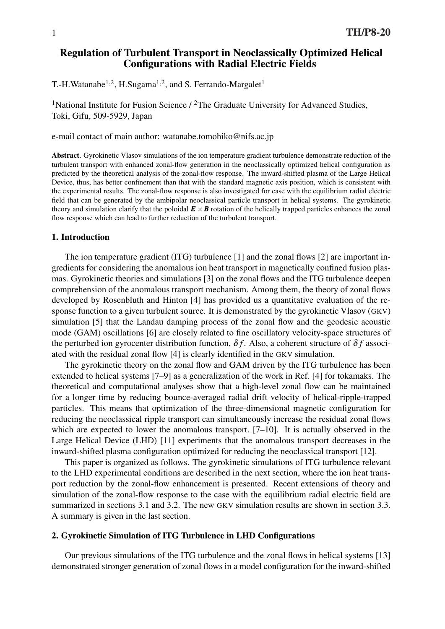# Regulation of Turbulent Transport in Neoclassically Optimized Helical Configurations with Radial Electric Fields

T.-H.Watanabe<sup>1,2</sup>, H.Sugama<sup>1,2</sup>, and S. Ferrando-Margalet<sup>1</sup>

<sup>1</sup>National Institute for Fusion Science  $/$  <sup>2</sup>The Graduate University for Advanced Studies, Toki, Gifu, 509-5929, Japan

e-mail contact of main author: watanabe.tomohiko@nifs.ac.jp

Abstract. Gyrokinetic Vlasov simulations of the ion temperature gradient turbulence demonstrate reduction of the turbulent transport with enhanced zonal-flow generation in the neoclassically optimized helical configuration as predicted by the theoretical analysis of the zonal-flow response. The inward-shifted plasma of the Large Helical Device, thus, has better confinement than that with the standard magnetic axis position, which is consistent with the experimental results. The zonal-flow response is also investigated for case with the equilibrium radial electric field that can be generated by the ambipolar neoclassical particle transport in helical systems. The gyrokinetic theory and simulation clarify that the poloidal  $E \times B$  rotation of the helically trapped particles enhances the zonal flow response which can lead to further reduction of the turbulent transport.

#### 1. Introduction

The ion temperature gradient (ITG) turbulence [1] and the zonal flows [2] are important ingredients for considering the anomalous ion heat transport in magnetically confined fusion plasmas. Gyrokinetic theories and simulations [3] on the zonal flows and the ITG turbulence deepen comprehension of the anomalous transport mechanism. Among them, the theory of zonal flows developed by Rosenbluth and Hinton [4] has provided us a quantitative evaluation of the response function to a given turbulent source. It is demonstrated by the gyrokinetic Vlasov (GKV) simulation [5] that the Landau damping process of the zonal flow and the geodesic acoustic mode (GAM) oscillations [6] are closely related to fine oscillatory velocity-space structures of the perturbed ion gyrocenter distribution function,  $\delta f$ . Also, a coherent structure of  $\delta f$  associated with the residual zonal flow [4] is clearly identified in the GKV simulation.

The gyrokinetic theory on the zonal flow and GAM driven by the ITG turbulence has been extended to helical systems [7–9] as a generalization of the work in Ref. [4] for tokamaks. The theoretical and computational analyses show that a high-level zonal flow can be maintained for a longer time by reducing bounce-averaged radial drift velocity of helical-ripple-trapped particles. This means that optimization of the three-dimensional magnetic configuration for reducing the neoclassical ripple transport can simultaneously increase the residual zonal flows which are expected to lower the anomalous transport. [7–10]. It is actually observed in the Large Helical Device (LHD) [11] experiments that the anomalous transport decreases in the inward-shifted plasma configuration optimized for reducing the neoclassical transport [12].

This paper is organized as follows. The gyrokinetic simulations of ITG turbulence relevant to the LHD experimental conditions are described in the next section, where the ion heat transport reduction by the zonal-flow enhancement is presented. Recent extensions of theory and simulation of the zonal-flow response to the case with the equilibrium radial electric field are summarized in sections 3.1 and 3.2. The new GKV simulation results are shown in section 3.3. A summary is given in the last section.

### 2. Gyrokinetic Simulation of ITG Turbulence in LHD Configurations

Our previous simulations of the ITG turbulence and the zonal flows in helical systems [13] demonstrated stronger generation of zonal flows in a model configuration for the inward-shifted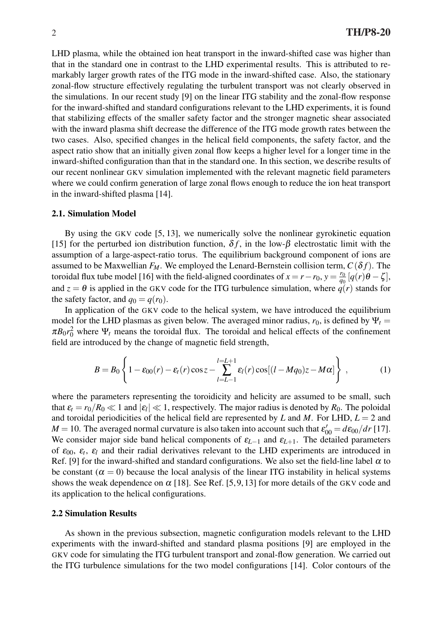LHD plasma, while the obtained ion heat transport in the inward-shifted case was higher than that in the standard one in contrast to the LHD experimental results. This is attributed to remarkably larger growth rates of the ITG mode in the inward-shifted case. Also, the stationary zonal-flow structure effectively regulating the turbulent transport was not clearly observed in the simulations. In our recent study [9] on the linear ITG stability and the zonal-flow response for the inward-shifted and standard configurations relevant to the LHD experiments, it is found that stabilizing effects of the smaller safety factor and the stronger magnetic shear associated with the inward plasma shift decrease the difference of the ITG mode growth rates between the two cases. Also, specified changes in the helical field components, the safety factor, and the aspect ratio show that an initially given zonal flow keeps a higher level for a longer time in the inward-shifted configuration than that in the standard one. In this section, we describe results of our recent nonlinear GKV simulation implemented with the relevant magnetic field parameters where we could confirm generation of large zonal flows enough to reduce the ion heat transport in the inward-shifted plasma [14].

### 2.1. Simulation Model

By using the GKV code [5, 13], we numerically solve the nonlinear gyrokinetic equation [15] for the perturbed ion distribution function,  $\delta f$ , in the low- $\beta$  electrostatic limit with the assumption of a large-aspect-ratio torus. The equilibrium background component of ions are assumed to be Maxwellian  $F_M$ . We employed the Lenard-Bernstein collision term,  $C(\delta f)$ . The toroidal flux tube model [16] with the field-aligned coordinates of  $x = r - r_0$ ,  $y = \frac{r_0}{q_0}$  $\frac{r_0}{q_0}$  [ $q(r)\theta - \zeta$ ], and  $z = \theta$  is applied in the GKV code for the ITG turbulence simulation, where  $q(r)$  stands for the safety factor, and  $q_0 = q(r_0)$ .

In application of the GKV code to the helical system, we have introduced the equilibrium model for the LHD plasmas as given below. The averaged minor radius,  $r_0$ , is defined by  $\Psi_t$  =  $\pi B_0 r_0^2$  where  $\Psi_t$  means the toroidal flux. The toroidal and helical effects of the confinement field are introduced by the change of magnetic field strength,

$$
B = B_0 \left\{ 1 - \varepsilon_{00}(r) - \varepsilon_t(r) \cos z - \sum_{l=L-1}^{l=L+1} \varepsilon_l(r) \cos[(l-Mq_0)z-M\alpha] \right\},\tag{1}
$$

where the parameters representing the toroidicity and helicity are assumed to be small, such that  $\varepsilon_t = r_0/R_0 \ll 1$  and  $|\varepsilon_t| \ll 1$ , respectively. The major radius is denoted by  $R_0$ . The poloidal and toroidal periodicities of the helical field are represented by *L* and *M*. For LHD,  $L = 2$  and  $M = 10$ . The averaged normal curvature is also taken into account such that  $\varepsilon'_{00} = d\varepsilon_{00}/dr$  [17]. We consider major side band helical components of  $\varepsilon_{L-1}$  and  $\varepsilon_{L+1}$ . The detailed parameters of  $\varepsilon_{00}$ ,  $\varepsilon_t$ ,  $\varepsilon_l$  and their radial derivatives relevant to the LHD experiments are introduced in Ref. [9] for the inward-shifted and standard configurations. We also set the field-line label  $\alpha$  to be constant ( $\alpha = 0$ ) because the local analysis of the linear ITG instability in helical systems shows the weak dependence on  $\alpha$  [18]. See Ref. [5,9, 13] for more details of the GKV code and its application to the helical configurations.

### 2.2 Simulation Results

As shown in the previous subsection, magnetic configuration models relevant to the LHD experiments with the inward-shifted and standard plasma positions [9] are employed in the GKV code for simulating the ITG turbulent transport and zonal-flow generation. We carried out the ITG turbulence simulations for the two model configurations [14]. Color contours of the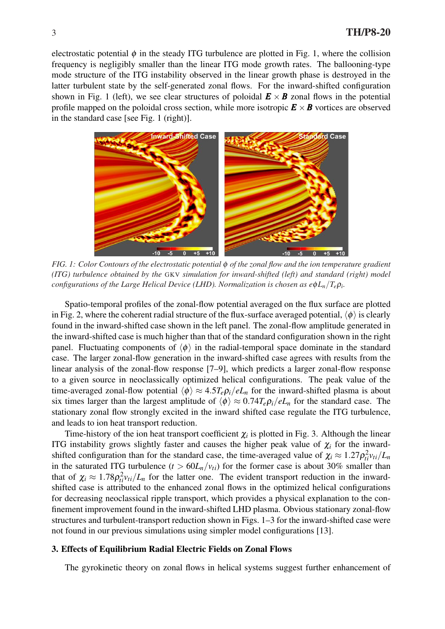electrostatic potential  $\phi$  in the steady ITG turbulence are plotted in Fig. 1, where the collision frequency is negligibly smaller than the linear ITG mode growth rates. The ballooning-type mode structure of the ITG instability observed in the linear growth phase is destroyed in the latter turbulent state by the self-generated zonal flows. For the inward-shifted configuration shown in Fig. 1 (left), we see clear structures of poloidal  $\mathbf{E} \times \mathbf{B}$  zonal flows in the potential profile mapped on the poloidal cross section, while more isotropic  $E \times B$  vortices are observed in the standard case [see Fig. 1 (right)].



*FIG. 1: Color Contours of the electrostatic potential* φ *of the zonal flow and the ion temperature gradient (ITG) turbulence obtained by the* GKV *simulation for inward-shifted (left) and standard (right) model configurations of the Large Helical Device (LHD). Normalization is chosen as e*φ*Ln/Te*ρ*<sup>i</sup> .*

Spatio-temporal profiles of the zonal-flow potential averaged on the flux surface are plotted in Fig. 2, where the coherent radial structure of the flux-surface averaged potential,  $\langle \phi \rangle$  is clearly found in the inward-shifted case shown in the left panel. The zonal-flow amplitude generated in the inward-shifted case is much higher than that of the standard configuration shown in the right panel. Fluctuating components of  $\langle \phi \rangle$  in the radial-temporal space dominate in the standard case. The larger zonal-flow generation in the inward-shifted case agrees with results from the linear analysis of the zonal-flow response [7–9], which predicts a larger zonal-flow response to a given source in neoclassically optimized helical configurations. The peak value of the time-averaged zonal-flow potential  $\langle \phi \rangle \approx 4.5T_e \rho_i/eL_n$  for the inward-shifted plasma is about six times larger than the largest amplitude of  $\langle \phi \rangle \approx 0.74 T_e \rho_i / eL_n$  for the standard case. The stationary zonal flow strongly excited in the inward shifted case regulate the ITG turbulence, and leads to ion heat transport reduction.

Time-history of the ion heat transport coefficient  $\chi$ <sup>*i*</sup> is plotted in Fig. 3. Although the linear ITG instability grows slightly faster and causes the higher peak value of  $\chi_i$  for the inwardshifted configuration than for the standard case, the time-averaged value of  $\chi_i \approx 1.27 \rho_{ti}^2 v_{ti}/L_m$ in the saturated ITG turbulence  $(t > 60L_n/v_{ti})$  for the former case is about 30% smaller than that of  $\chi_i \approx 1.78 \rho_{ti}^2 v_{ti}/L_n$  for the latter one. The evident transport reduction in the inwardshifted case is attributed to the enhanced zonal flows in the optimized helical configurations for decreasing neoclassical ripple transport, which provides a physical explanation to the confinement improvement found in the inward-shifted LHD plasma. Obvious stationary zonal-flow structures and turbulent-transport reduction shown in Figs. 1–3 for the inward-shifted case were not found in our previous simulations using simpler model configurations [13].

### 3. Effects of Equilibrium Radial Electric Fields on Zonal Flows

The gyrokinetic theory on zonal flows in helical systems suggest further enhancement of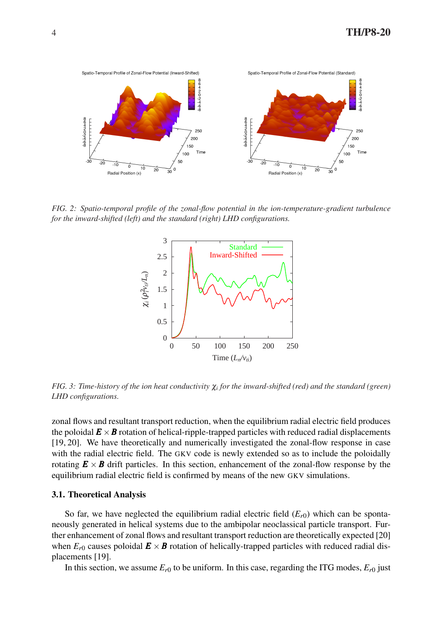

*FIG. 2: Spatio-temporal profile of the zonal-flow potential in the ion-temperature-gradient turbulence for the inward-shifted (left) and the standard (right) LHD configurations.*



*FIG. 3: Time-history of the ion heat conductivity* <sup>χ</sup>*<sup>i</sup> for the inward-shifted (red) and the standard (green) LHD configurations.*

zonal flows and resultant transport reduction, when the equilibrium radial electric field produces the poloidal  $\mathbf{E} \times \mathbf{B}$  rotation of helical-ripple-trapped particles with reduced radial displacements [19, 20]. We have theoretically and numerically investigated the zonal-flow response in case with the radial electric field. The GKV code is newly extended so as to include the poloidally rotating  $E \times B$  drift particles. In this section, enhancement of the zonal-flow response by the equilibrium radial electric field is confirmed by means of the new GKV simulations.

### 3.1. Theoretical Analysis

So far, we have neglected the equilibrium radial electric field  $(E_{r0})$  which can be spontaneously generated in helical systems due to the ambipolar neoclassical particle transport. Further enhancement of zonal flows and resultant transport reduction are theoretically expected [20] when  $E_{r0}$  causes poloidal  $\mathbf{E} \times \mathbf{B}$  rotation of helically-trapped particles with reduced radial displacements [19].

In this section, we assume  $E_{r0}$  to be uniform. In this case, regarding the ITG modes,  $E_{r0}$  just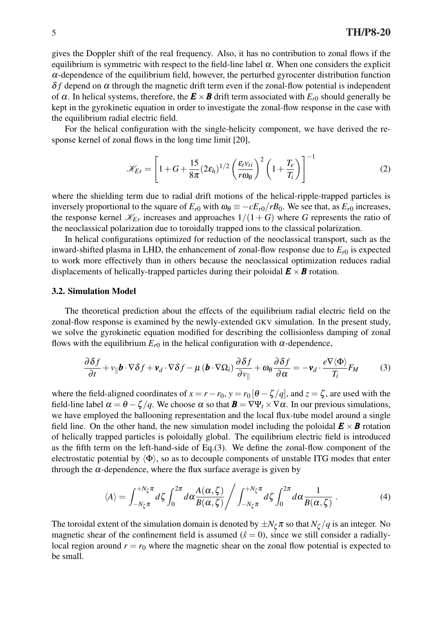gives the Doppler shift of the real frequency. Also, it has no contribution to zonal flows if the equilibrium is symmetric with respect to the field-line label  $\alpha$ . When one considers the explicit  $\alpha$ -dependence of the equilibrium field, however, the perturbed gyrocenter distribution function  $\delta f$  depend on  $\alpha$  through the magnetic drift term even if the zonal-flow potential is independent of  $\alpha$ . In helical systems, therefore, the  $\mathbf{E} \times \mathbf{B}$  drift term associated with  $E_{r0}$  should generally be kept in the gyrokinetic equation in order to investigate the zonal-flow response in the case with the equilibrium radial electric field.

For the helical configuration with the single-helicity component, we have derived the response kernel of zonal flows in the long time limit [20],

$$
\mathscr{K}_{Er} = \left[1 + G + \frac{15}{8\pi} (2\varepsilon_h)^{1/2} \left(\frac{\varepsilon_t v_{ti}}{r\omega_\theta}\right)^2 \left(1 + \frac{T_e}{T_i}\right)\right]^{-1} \tag{2}
$$

where the shielding term due to radial drift motions of the helical-ripple-trapped particles is inversely proportional to the square of  $E_{r0}$  with  $\omega_\theta \equiv -cE_{r0}/rB_0$ . We see that, as  $E_{r0}$  increases, the response kernel  $\mathcal{K}_{Er}$  increases and approaches  $1/(1+G)$  where *G* represents the ratio of the neoclassical polarization due to toroidally trapped ions to the classical polarization.

In helical configurations optimized for reduction of the neoclassical transport, such as the inward-shifted plasma in LHD, the enhancement of zonal-flow response due to  $E_{r0}$  is expected to work more effectively than in others because the neoclassical optimization reduces radial displacements of helically-trapped particles during their poloidal  $\mathbf{E} \times \mathbf{B}$  rotation.

#### 3.2. Simulation Model

The theoretical prediction about the effects of the equilibrium radial electric field on the zonal-flow response is examined by the newly-extended GKV simulation. In the present study, we solve the gyrokinetic equation modified for describing the collisionless damping of zonal flows with the equilibrium  $E_{r0}$  in the helical configuration with  $\alpha$ -dependence,

$$
\frac{\partial \delta f}{\partial t} + v_{\parallel} \boldsymbol{b} \cdot \nabla \delta f + \boldsymbol{v}_d \cdot \nabla \delta f - \mu \left( \boldsymbol{b} \cdot \nabla \Omega_i \right) \frac{\partial \delta f}{\partial v_{\parallel}} + \omega_\theta \frac{\partial \delta f}{\partial \alpha} = -\boldsymbol{v}_d \cdot \frac{e \nabla \langle \Phi \rangle}{T_i} F_M \tag{3}
$$

where the field-aligned coordinates of  $x = r - r_0$ ,  $y = r_0 [\theta - \zeta / q]$ , and  $z = \zeta$ , are used with the field-line label  $\alpha = \theta - \zeta / q$ . We choose  $\alpha$  so that  $\mathbf{B} = \nabla \Psi_t \times \nabla \alpha$ . In our previous simulations, we have employed the ballooning representation and the local flux-tube model around a single field line. On the other hand, the new simulation model including the poloidal  $\mathbf{E} \times \mathbf{B}$  rotation of helically trapped particles is poloidally global. The equilibrium electric field is introduced as the fifth term on the left-hand-side of Eq.(3). We define the zonal-flow component of the electrostatic potential by  $\langle \Phi \rangle$ , so as to decouple components of unstable ITG modes that enter through the  $\alpha$ -dependence, where the flux surface average is given by

$$
\langle A \rangle = \int_{-N_{\zeta}\pi}^{+N_{\zeta}\pi} d\zeta \int_0^{2\pi} d\alpha \frac{A(\alpha,\zeta)}{B(\alpha,\zeta)} / \int_{-N_{\zeta}\pi}^{+N_{\zeta}\pi} d\zeta \int_0^{2\pi} d\alpha \frac{1}{B(\alpha,\zeta)} . \tag{4}
$$

The toroidal extent of the simulation domain is denoted by  $\pm N_\zeta \pi$  so that  $N_\zeta/q$  is an integer. No magnetic shear of the confinement field is assumed  $(\hat{s} = 0)$ , since we still consider a radiallylocal region around  $r = r_0$  where the magnetic shear on the zonal flow potential is expected to be small.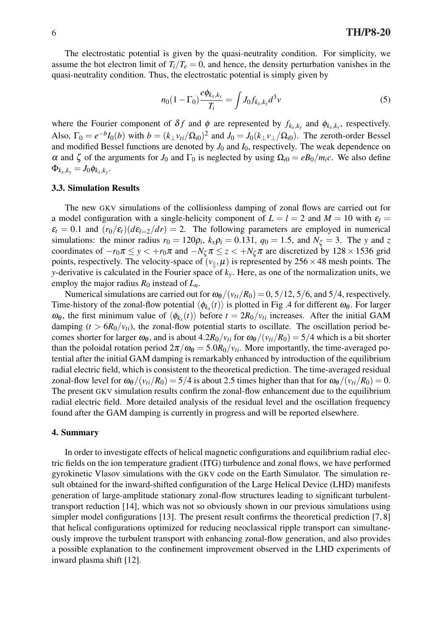The electrostatic potential is given by the quasi-neutrality condition. For simplicity, we assume the hot electron limit of  $T_i/T_e = 0$ , and hence, the density perturbation vanishes in the quasi-neutrality condition. Thus, the electrostatic potential is simply given by

$$
n_0(1 - \Gamma_0) \frac{e\phi_{k_x, k_y}}{T_i} = \int J_0 f_{k_x, k_y} d^3 v \tag{5}
$$

where the Fourier component of  $\delta f$  and  $\phi$  are represented by  $f_{k_x,k_y}$  and  $\phi_{k_x,k_y}$ , respectively. Also,  $\Gamma_0 = e^{-b}I_0(b)$  with  $b = (k_{\perp}v_{ti}/\Omega_{i0})^2$  and  $J_0 = J_0(k_{\perp}v_{\perp}/\Omega_{i0})$ . The zeroth-order Bessel and modified Bessel functions are denoted by  $J_0$  and  $I_0$ , respectively. The weak dependence on α and ζ of the arguments for *J*<sub>0</sub> and Γ<sub>0</sub> is neglected by using  $\Omega_{i0} = eB_0/m_i c$ . We also define  $\Phi_{k_x,k_y} = J_0 \phi_{k_x,k_y}.$ 

#### 3.3. Simulation Results

The new GKV simulations of the collisionless damping of zonal flows are carried out for a model configuration with a single-helicity component of  $L = l = 2$  and  $M = 10$  with  $\varepsilon_l$  $\varepsilon_t = 0.1$  and  $(r_0/\varepsilon_t)(d\varepsilon_{t=2}/dr) = 2$ . The following parameters are employed in numerical simulations: the minor radius  $r_0 = 120\rho_i$ ,  $k_x \rho_i = 0.131$ ,  $q_0 = 1.5$ , and  $N_\zeta = 3$ . The *y* and *z* coordinates of  $-r_0\pi \leq y < +r_0\pi$  and  $-N_\zeta\pi \leq z < +N_\zeta\pi$  are discretized by 128 × 1536 grid points, respectively. The velocity-space of  $(v_{\parallel}, \mu)$  is represented by 256  $\times$  48 mesh points. The *y*-derivative is calculated in the Fourier space of *ky*. Here, as one of the normalization units, we employ the major radius  $R_0$  instead of  $L_n$ .

Numerical simulations are carried out for  $\omega_{\theta}/(v_{ti}/R_0) = 0$ , 5/12, 5/6, and 5/4, respectively. Time-history of the zonal-flow potential  $\langle \phi_{k_x}(t) \rangle$  is plotted in Fig .4 for different  $\omega_{\theta}$ . For larger  $ω_θ$ , the first minimum value of  $\langle φ_{k_x}(t) \rangle$  before  $t = 2R_0/v_{ti}$  increases. After the initial GAM damping  $(t > 6R_0/v_{ti})$ , the zonal-flow potential starts to oscillate. The oscillation period becomes shorter for larger  $\omega_{\theta}$ , and is about  $4.2R_0/v_{ti}$  for  $\omega_{\theta}/(v_{ti}/R_0) = 5/4$  which is a bit shorter than the poloidal rotation period  $2\pi/\omega_{\theta} = 5.0R_0/v_{ti}$ . More importantly, the time-averaged potential after the initial GAM damping is remarkably enhanced by introduction of the equilibrium radial electric field, which is consistent to the theoretical prediction. The time-averaged residual zonal-flow level for  $\omega_{\theta}$  /( $v_{ti}/R_0$ ) = 5/4 is about 2.5 times higher than that for  $\omega_{\theta}$ /( $v_{ti}/R_0$ ) = 0. The present GKV simulation results confirm the zonal-flow enhancement due to the equilibrium radial electric field. More detailed analysis of the residual level and the oscillation frequency found after the GAM damping is currently in progress and will be reported elsewhere.

### 4. Summary

In order to investigate effects of helical magnetic configurations and equilibrium radial electric fields on the ion temperature gradient (ITG) turbulence and zonal flows, we have performed gyrokinetic Vlasov simulations with the GKV code on the Earth Simulator. The simulation result obtained for the inward-shifted configuration of the Large Helical Device (LHD) manifests generation of large-amplitude stationary zonal-flow structures leading to significant turbulenttransport reduction [14], which was not so obviously shown in our previous simulations using simpler model configurations [13]. The present result confirms the theoretical prediction [7, 8] that helical configurations optimized for reducing neoclassical ripple transport can simultaneously improve the turbulent transport with enhancing zonal-flow generation, and also provides a possible explanation to the confinement improvement observed in the LHD experiments of inward plasma shift [12].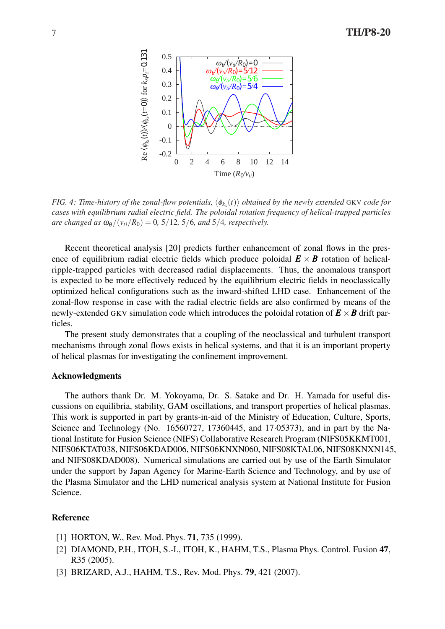

*FIG. 4: Time-history of the zonal-flow potentials,*  $\langle \phi_{k_x}(t) \rangle$  *obtained by the newly extended* GKV *code for cases with equilibrium radial electric field. The poloidal rotation frequency of helical-trapped particles are changed as*  $\omega_{\theta}/(\nu_{ti}/R_0) = 0$ , 5/12, 5/6, and 5/4, respectively.

Recent theoretical analysis [20] predicts further enhancement of zonal flows in the presence of equilibrium radial electric fields which produce poloidal  $E \times B$  rotation of helicalripple-trapped particles with decreased radial displacements. Thus, the anomalous transport is expected to be more effectively reduced by the equilibrium electric fields in neoclassically optimized helical configurations such as the inward-shifted LHD case. Enhancement of the zonal-flow response in case with the radial electric fields are also confirmed by means of the newly-extended GKV simulation code which introduces the poloidal rotation of  $\mathbf{E} \times \mathbf{B}$  drift particles.

The present study demonstrates that a coupling of the neoclassical and turbulent transport mechanisms through zonal flows exists in helical systems, and that it is an important property of helical plasmas for investigating the confinement improvement.

# Acknowledgments

The authors thank Dr. M. Yokoyama, Dr. S. Satake and Dr. H. Yamada for useful discussions on equilibria, stability, GAM oscillations, and transport properties of helical plasmas. This work is supported in part by grants-in-aid of the Ministry of Education, Culture, Sports, Science and Technology (No. 16560727, 17360445, and 17*·*05373), and in part by the National Institute for Fusion Science (NIFS) Collaborative Research Program (NIFS05KKMT001, NIFS06KTAT038, NIFS06KDAD006, NIFS06KNXN060, NIFS08KTAL06, NIFS08KNXN145, and NIFS08KDAD008). Numerical simulations are carried out by use of the Earth Simulator under the support by Japan Agency for Marine-Earth Science and Technology, and by use of the Plasma Simulator and the LHD numerical analysis system at National Institute for Fusion Science.

# Reference

- [1] HORTON, W., Rev. Mod. Phys. **71**, 735 (1999).
- [2] DIAMOND, P.H., ITOH, S.-I., ITOH, K., HAHM, T.S., Plasma Phys. Control. Fusion 47, R35 (2005).
- [3] BRIZARD, A.J., HAHM, T.S., Rev. Mod. Phys. 79, 421 (2007).